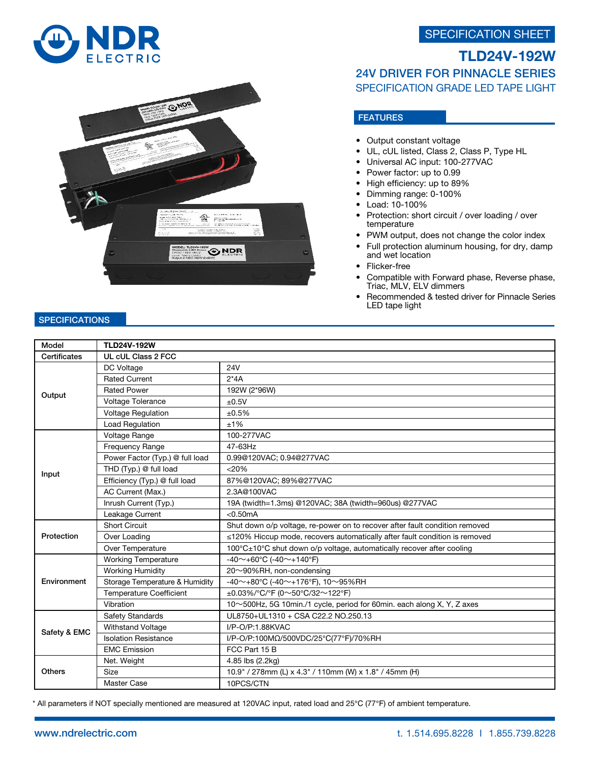## SPECIFICATION SHEET





# TLD24V-192W 24V DRIVER FOR PINNACLE SERIES SPECIFICATION GRADE LED TAPE LIGHT

## FEATURES

- Output constant voltage
- UL, cUL listed, Class 2, Class P, Type HL
- Universal AC input: 100-277VAC
- Power factor: up to 0.99
- High efficiency: up to 89%
- Dimming range: 0-100%
- Load: 10-100%
- Protection: short circuit / over loading / over temperature
- PWM output, does not change the color index
- Full protection aluminum housing, for dry, damp and wet location
- Flicker-free
- Compatible with Forward phase, Reverse phase, Triac, MLV, ELV dimmers
- Recommended & tested driver for Pinnacle Series LED tape light

#### **SPECIFICATIONS**

| Model         | <b>TLD24V-192W</b>              |                                                                             |
|---------------|---------------------------------|-----------------------------------------------------------------------------|
| Certificates  | UL cUL Class 2 FCC              |                                                                             |
| Output        | DC Voltage                      | <b>24V</b>                                                                  |
|               | <b>Rated Current</b>            | $2*4A$                                                                      |
|               | <b>Rated Power</b>              | 192W (2*96W)                                                                |
|               | Voltage Tolerance               | ±0.5V                                                                       |
|               | <b>Voltage Regulation</b>       | ±0.5%                                                                       |
|               | Load Regulation                 | ±1%                                                                         |
| Input         | Voltage Range                   | 100-277VAC                                                                  |
|               | Frequency Range                 | 47-63Hz                                                                     |
|               | Power Factor (Typ.) @ full load | 0.99@120VAC; 0.94@277VAC                                                    |
|               | THD (Typ.) @ full load          | $<$ 20%                                                                     |
|               | Efficiency (Typ.) @ full load   | 87%@120VAC; 89%@277VAC                                                      |
|               | AC Current (Max.)               | 2.3A@100VAC                                                                 |
|               | Inrush Current (Typ.)           | 19A (twidth=1.3ms) @120VAC; 38A (twidth=960us) @277VAC                      |
|               | Leakage Current                 | $< 0.50$ mA                                                                 |
| Protection    | <b>Short Circuit</b>            | Shut down o/p voltage, re-power on to recover after fault condition removed |
|               | Over Loading                    | ≤120% Hiccup mode, recovers automatically after fault condition is removed  |
|               | Over Temperature                | 100°C±10°C shut down o/p voltage, automatically recover after cooling       |
| Environment   | <b>Working Temperature</b>      | -40~+60°C (-40~+140°F)                                                      |
|               | <b>Working Humidity</b>         | 20~90%RH, non-condensing                                                    |
|               | Storage Temperature & Humidity  | -40~+80°C (-40~+176°F), 10~95%RH                                            |
|               | <b>Temperature Coefficient</b>  | $\pm 0.03\%$ /°C/°F (0~50°C/32~122°F)                                       |
|               | Vibration                       | 10~500Hz, 5G 10min./1 cycle, period for 60min. each along X, Y, Z axes      |
| Safety & EMC  | Safety Standards                | UL8750+UL1310 + CSA C22.2 NO.250.13                                         |
|               | Withstand Voltage               | I/P-O/P:1.88KVAC                                                            |
|               | <b>Isolation Resistance</b>     | I/P-O/P:100MΩ/500VDC/25°C(77°F)/70%RH                                       |
|               | <b>EMC Emission</b>             | FCC Part 15 B                                                               |
| <b>Others</b> | Net. Weight                     | 4.85 lbs (2.2kg)                                                            |
|               | Size                            | 10.9" / 278mm (L) x 4.3" / 110mm (W) x 1.8" / 45mm (H)                      |
|               | Master Case                     | 10PCS/CTN                                                                   |

\* All parameters if NOT specially mentioned are measured at 120VAC input, rated load and 25℃ (77℉) of ambient temperature.